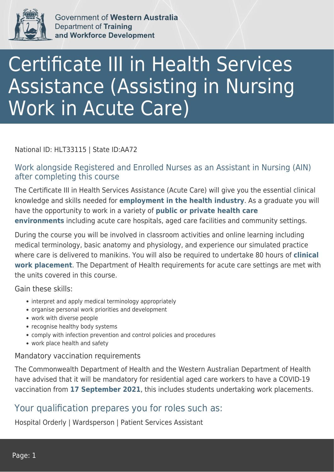

Government of Western Australia Department of Training and Workforce Development

# Certificate III in Health Services Assistance (Assisting in Nursing Work in Acute Care)

#### National ID: HLT33115 | State ID:AA72

### Work alongside Registered and Enrolled Nurses as an Assistant in Nursing (AIN) after completing this course

The Certificate III in Health Services Assistance (Acute Care) will give you the essential clinical knowledge and skills needed for **employment in the health industry**. As a graduate you will have the opportunity to work in a variety of **public or private health care environments** including acute care hospitals, aged care facilities and community settings.

During the course you will be involved in classroom activities and online learning including medical terminology, basic anatomy and physiology, and experience our simulated practice where care is delivered to manikins. You will also be required to undertake 80 hours of **clinical work placement**. The Department of Health requirements for acute care settings are met with the units covered in this course.

Gain these skills:

- interpret and apply medical terminology appropriately
- organise personal work priorities and development
- work with diverse people
- recognise healthy body systems
- comply with infection prevention and control policies and procedures
- work place health and safety

#### Mandatory vaccination requirements

The Commonwealth Department of Health and the Western Australian Department of Health have advised that it will be mandatory for residential aged care workers to have a COVID-19 vaccination from **17 September 2021**, this includes students undertaking work placements.

## Your qualification prepares you for roles such as:

Hospital Orderly | Wardsperson | Patient Services Assistant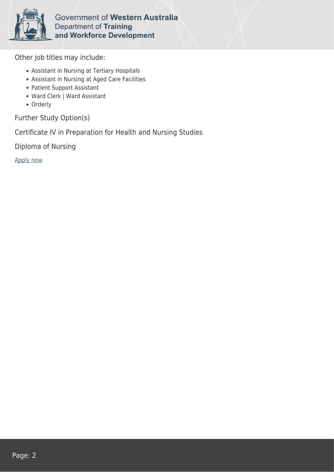

Government of Western Australia Department of Training and Workforce Development

Other job titles may include:

- Assistant in Nursing at Tertiary Hospitals
- Assistant in Nursing at Aged Care Facilities
- Patient Support Assistant
- Ward Clerk | Ward Assistant
- Orderly

Further Study Option(s)

Certificate IV in Preparation for Health and Nursing Studies

Diploma of Nursing

[Apply now](https://tasonline.tafe.wa.edu.au/Default.aspx)